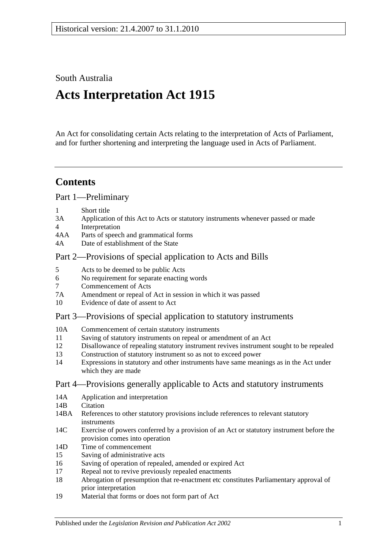South Australia

# **Acts Interpretation Act 1915**

An Act for consolidating certain Acts relating to the interpretation of Acts of Parliament, and for further shortening and interpreting the language used in Acts of Parliament.

## **Contents**

[Part 1—Preliminary](#page-1-0)

- 1 [Short title](#page-1-1)
- 3A [Application of this Act to Acts or statutory instruments whenever passed or made](#page-1-2)
- 4 [Interpretation](#page-2-0)
- 4AA [Parts of speech and grammatical forms](#page-6-0)
- 4A [Date of establishment of the State](#page-6-1)

## [Part 2—Provisions of special application to Acts and Bills](#page-6-2)

- 5 [Acts to be deemed to be public Acts](#page-6-3)
- 6 [No requirement for separate enacting words](#page-6-4)
- 7 [Commencement of Acts](#page-6-5)
- 7A [Amendment or repeal of Act in session in which it was passed](#page-7-0)
- 10 [Evidence of date of assent to Act](#page-7-1)

## [Part 3—Provisions of special application to statutory instruments](#page-7-2)

- 10A [Commencement of certain statutory instruments](#page-7-3)
- 11 [Saving of statutory instruments on repeal or amendment of an Act](#page-7-4)
- 12 [Disallowance of repealing statutory instrument revives instrument sought to](#page-8-0) be repealed
- 13 [Construction of statutory instrument so as not to exceed power](#page-8-1)
- 14 [Expressions in statutory and other instruments have same meanings as in the Act under](#page-8-2)  [which they are made](#page-8-2)

## [Part 4—Provisions generally applicable to Acts and statutory instruments](#page-8-3)

- 14A [Application and interpretation](#page-8-4)
- 14R [Citation](#page-8-5)
- 14BA [References to other statutory provisions include references to relevant statutory](#page-9-0)  [instruments](#page-9-0)
- 14C [Exercise of powers conferred by a provision of an Act or statutory instrument before the](#page-9-1)  [provision comes into operation](#page-9-1)
- 14D [Time of commencement](#page-10-0)
- 15 [Saving of administrative acts](#page-10-1)
- 16 [Saving of operation of repealed, amended or expired Act](#page-10-2)
- 17 [Repeal not to revive previously repealed enactments](#page-11-0)
- 18 [Abrogation of presumption that re-enactment etc constitutes Parliamentary approval of](#page-11-1)  [prior interpretation](#page-11-1)
- 19 [Material that forms or does not form part of Act](#page-11-2)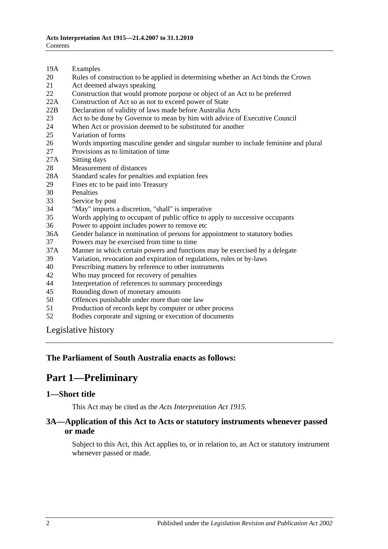- 19A [Examples](#page-12-0)
- 20 [Rules of construction to be applied in determining whether an Act binds the Crown](#page-12-1)
- 21 [Act deemed always speaking](#page-12-2)
- 22 [Construction that would promote purpose or object of an Act to be preferred](#page-13-0)
- 22A [Construction of Act so as not to exceed power of State](#page-13-1)
- 22B [Declaration of validity of laws made before Australia Acts](#page-13-2)
- 23 [Act to be done by Governor to mean by him with advice of Executive Council](#page-13-3)
- 24 [When Act or provision deemed to be substituted for another](#page-13-4)<br>25 Variation of forms
- [Variation of forms](#page-13-5)
- 26 [Words importing masculine gender and singular number to include feminine and plural](#page-14-0)
- 27 [Provisions as to limitation of time](#page-14-1)
- 27A [Sitting days](#page-14-2)
- 28 [Measurement of distances](#page-14-3)
- 28A [Standard scales for penalties and expiation fees](#page-15-0)
- 29 [Fines etc to be paid into Treasury](#page-15-1)
- 
- 30 [Penalties](#page-16-0)<br>33 Service b [Service by post](#page-16-1)
- 34 ["May" imports a discretion, "shall" is imperative](#page-16-2)
- 35 [Words applying to occupant of public office to apply to successive occupants](#page-16-3)
- 36 [Power to appoint includes power to remove etc](#page-16-4)
- 36A [Gender balance in nomination of persons for appointment to statutory bodies](#page-17-0)
- 37 [Powers may be exercised from time to time](#page-17-1)
- 37A [Manner in which certain powers and functions may be exercised by a delegate](#page-18-0)
- 39 [Variation, revocation and expiration of regulations, rules or by-laws](#page-18-1)
- 40 [Prescribing matters by reference to other instruments](#page-18-2)
- 42 [Who may proceed for recovery of penalties](#page-18-3)
- 44 [Interpretation of references to summary proceedings](#page-18-4)
- 45 [Rounding down of monetary amounts](#page-19-0)
- 50 [Offences punishable under more than one law](#page-19-1)
- 51 [Production of records kept by computer or other process](#page-19-2)
- 52 [Bodies corporate and signing or execution of documents](#page-19-3)

[Legislative history](#page-20-0)

#### <span id="page-1-0"></span>**The Parliament of South Australia enacts as follows:**

## **Part 1—Preliminary**

#### <span id="page-1-1"></span>**1—Short title**

This Act may be cited as the *Acts Interpretation Act 1915*.

#### <span id="page-1-2"></span>**3A—Application of this Act to Acts or statutory instruments whenever passed or made**

Subject to this Act, this Act applies to, or in relation to, an Act or statutory instrument whenever passed or made.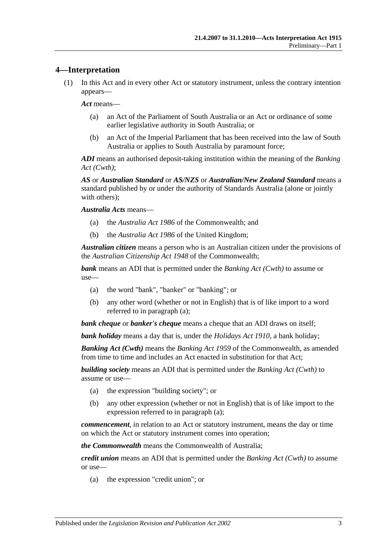#### <span id="page-2-0"></span>**4—Interpretation**

(1) In this Act and in every other Act or statutory instrument, unless the contrary intention appears—

*Act* means—

- (a) an Act of the Parliament of South Australia or an Act or ordinance of some earlier legislative authority in South Australia; or
- (b) an Act of the Imperial Parliament that has been received into the law of South Australia or applies to South Australia by paramount force;

*ADI* means an authorised deposit-taking institution within the meaning of the *Banking Act (Cwth)*;

*AS* or *Australian Standard* or *AS/NZS* or *Australian/New Zealand Standard* means a standard published by or under the authority of Standards Australia (alone or jointly with others);

*Australia Acts* means—

- (a) the *Australia Act 1986* of the Commonwealth; and
- (b) the *Australia Act 1986* of the United Kingdom;

*Australian citizen* means a person who is an Australian citizen under the provisions of the *Australian Citizenship Act 1948* of the Commonwealth;

<span id="page-2-1"></span>*bank* means an ADI that is permitted under the *Banking Act (Cwth)* to assume or use—

- (a) the word "bank", "banker" or "banking"; or
- (b) any other word (whether or not in English) that is of like import to a word referred to in [paragraph](#page-2-1) (a);

*bank cheque* or *banker's cheque* means a cheque that an ADI draws on itself;

*bank holiday* means a day that is, under the *[Holidays Act](http://www.legislation.sa.gov.au/index.aspx?action=legref&type=act&legtitle=Holidays%20Act%201910) 1910*, a bank holiday;

*Banking Act (Cwth)* means the *Banking Act 1959* of the Commonwealth, as amended from time to time and includes an Act enacted in substitution for that Act;

<span id="page-2-2"></span>*building society* means an ADI that is permitted under the *Banking Act (Cwth)* to assume or use—

- (a) the expression "building society"; or
- (b) any other expression (whether or not in English) that is of like import to the expression referred to in [paragraph](#page-2-2) (a);

*commencement*, in relation to an Act or statutory instrument, means the day or time on which the Act or statutory instrument comes into operation;

*the Commonwealth* means the Commonwealth of Australia;

<span id="page-2-3"></span>*credit union* means an ADI that is permitted under the *Banking Act (Cwth)* to assume or use—

(a) the expression "credit union"; or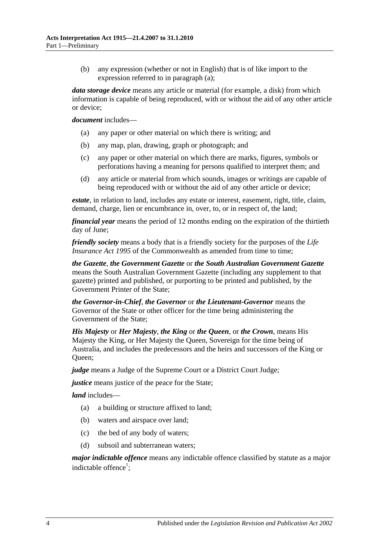(b) any expression (whether or not in English) that is of like import to the expression referred to in [paragraph](#page-2-3) (a);

*data storage device* means any article or material (for example, a disk) from which information is capable of being reproduced, with or without the aid of any other article or device;

#### *document* includes—

- (a) any paper or other material on which there is writing; and
- (b) any map, plan, drawing, graph or photograph; and
- (c) any paper or other material on which there are marks, figures, symbols or perforations having a meaning for persons qualified to interpret them; and
- (d) any article or material from which sounds, images or writings are capable of being reproduced with or without the aid of any other article or device;

*estate*, in relation to land, includes any estate or interest, easement, right, title, claim, demand, charge, lien or encumbrance in, over, to, or in respect of, the land;

*financial year* means the period of 12 months ending on the expiration of the thirtieth day of June;

*friendly society* means a body that is a friendly society for the purposes of the *Life Insurance Act 1995* of the Commonwealth as amended from time to time:

*the Gazette*, *the Government Gazette* or *the South Australian Government Gazette* means the South Australian Government Gazette (including any supplement to that gazette) printed and published, or purporting to be printed and published, by the Government Printer of the State;

*the Governor-in-Chief*, *the Governor* or *the Lieutenant-Governor* means the Governor of the State or other officer for the time being administering the Government of the State;

*His Majesty* or *Her Majesty*, *the King* or *the Queen*, or *the Crown*, means His Majesty the King, or Her Majesty the Queen, Sovereign for the time being of Australia, and includes the predecessors and the heirs and successors of the King or Oueen:

*judge* means a Judge of the Supreme Court or a District Court Judge;

*justice* means justice of the peace for the State;

*land* includes—

- (a) a building or structure affixed to land;
- (b) waters and airspace over land;
- (c) the bed of any body of waters;
- (d) subsoil and subterranean waters;

*major indictable offence* means any indictable offence classified by statute as a major indictable offence<sup>1</sup>;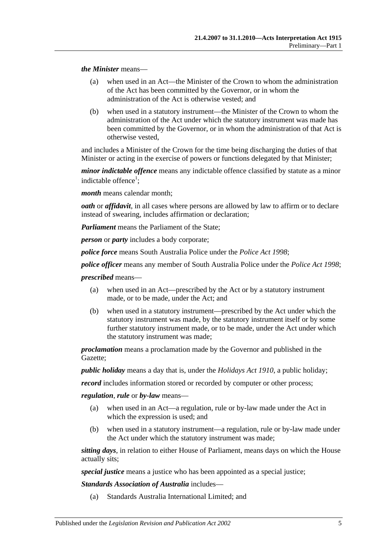*the Minister* means—

- (a) when used in an Act—the Minister of the Crown to whom the administration of the Act has been committed by the Governor, or in whom the administration of the Act is otherwise vested; and
- (b) when used in a statutory instrument—the Minister of the Crown to whom the administration of the Act under which the statutory instrument was made has been committed by the Governor, or in whom the administration of that Act is otherwise vested,

and includes a Minister of the Crown for the time being discharging the duties of that Minister or acting in the exercise of powers or functions delegated by that Minister;

*minor indictable offence* means any indictable offence classified by statute as a minor indictable offence<sup>1</sup>;

*month* means calendar month;

*oath* or *affidavit*, in all cases where persons are allowed by law to affirm or to declare instead of swearing, includes affirmation or declaration;

*Parliament* means the Parliament of the State;

*person* or *party* includes a body corporate;

*police force* means South Australia Police under the *[Police Act](http://www.legislation.sa.gov.au/index.aspx?action=legref&type=act&legtitle=Police%20Act%201998) 1998*;

*police officer* means any member of South Australia Police under the *[Police Act](http://www.legislation.sa.gov.au/index.aspx?action=legref&type=act&legtitle=Police%20Act%201998) 1998*;

*prescribed* means—

- (a) when used in an Act—prescribed by the Act or by a statutory instrument made, or to be made, under the Act; and
- (b) when used in a statutory instrument—prescribed by the Act under which the statutory instrument was made, by the statutory instrument itself or by some further statutory instrument made, or to be made, under the Act under which the statutory instrument was made;

*proclamation* means a proclamation made by the Governor and published in the Gazette;

*public holiday* means a day that is, under the *[Holidays Act](http://www.legislation.sa.gov.au/index.aspx?action=legref&type=act&legtitle=Holidays%20Act%201910) 1910*, a public holiday;

*record* includes information stored or recorded by computer or other process;

*regulation*, *rule* or *by-law* means—

- (a) when used in an Act—a regulation, rule or by-law made under the Act in which the expression is used; and
- (b) when used in a statutory instrument—a regulation, rule or by-law made under the Act under which the statutory instrument was made;

*sitting days*, in relation to either House of Parliament, means days on which the House actually sits;

*special justice* means a justice who has been appointed as a special justice;

*Standards Association of Australia* includes—

(a) Standards Australia International Limited; and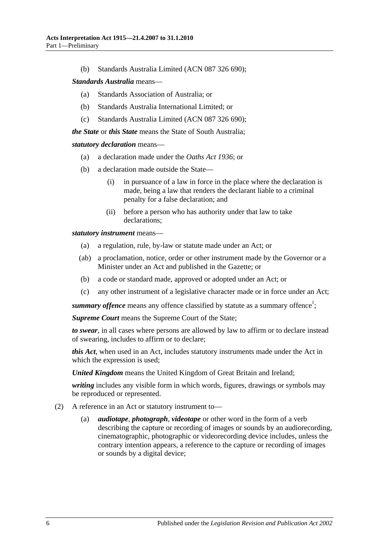(b) Standards Australia Limited (ACN 087 326 690);

#### *Standards Australia* means—

- (a) Standards Association of Australia; or
- (b) Standards Australia International Limited; or
- (c) Standards Australia Limited (ACN 087 326 690);

*the State* or *this State* means the State of South Australia;

#### *statutory declaration* means—

- (a) a declaration made under the *[Oaths Act](http://www.legislation.sa.gov.au/index.aspx?action=legref&type=act&legtitle=Oaths%20Act%201936) 1936*; or
- (b) a declaration made outside the State—
	- (i) in pursuance of a law in force in the place where the declaration is made, being a law that renders the declarant liable to a criminal penalty for a false declaration; and
	- (ii) before a person who has authority under that law to take declarations;

*statutory instrument* means—

- (a) a regulation, rule, by-law or statute made under an Act; or
- (ab) a proclamation, notice, order or other instrument made by the Governor or a Minister under an Act and published in the Gazette; or
- (b) a code or standard made, approved or adopted under an Act; or
- (c) any other instrument of a legislative character made or in force under an Act;

summary offence means any offence classified by statute as a summary offence<sup>1</sup>;

*Supreme Court* means the Supreme Court of the State;

*to swear*, in all cases where persons are allowed by law to affirm or to declare instead of swearing, includes to affirm or to declare;

*this Act*, when used in an Act, includes statutory instruments made under the Act in which the expression is used;

*United Kingdom* means the United Kingdom of Great Britain and Ireland;

*writing* includes any visible form in which words, figures, drawings or symbols may be reproduced or represented.

- (2) A reference in an Act or statutory instrument to
	- *audiotape, photograph, videotape* or other word in the form of a verb describing the capture or recording of images or sounds by an audiorecording, cinematographic, photographic or videorecording device includes, unless the contrary intention appears, a reference to the capture or recording of images or sounds by a digital device;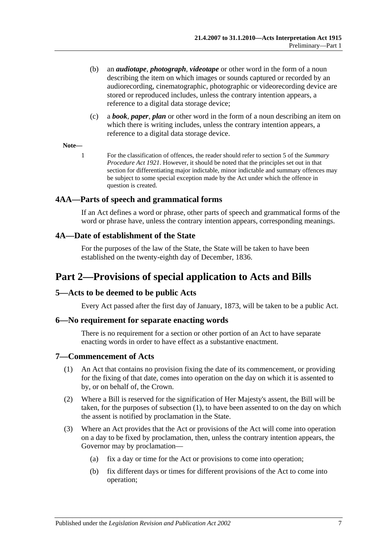- (b) an *audiotape*, *photograph*, *videotape* or other word in the form of a noun describing the item on which images or sounds captured or recorded by an audiorecording, cinematographic, photographic or videorecording device are stored or reproduced includes, unless the contrary intention appears, a reference to a digital data storage device;
- (c) a *book*, *paper*, *plan* or other word in the form of a noun describing an item on which there is writing includes, unless the contrary intention appears, a reference to a digital data storage device.

#### **Note—**

1 For the classification of offences, the reader should refer to section 5 of the *[Summary](http://www.legislation.sa.gov.au/index.aspx?action=legref&type=act&legtitle=Summary%20Procedure%20Act%201921)  [Procedure Act](http://www.legislation.sa.gov.au/index.aspx?action=legref&type=act&legtitle=Summary%20Procedure%20Act%201921) 1921*. However, it should be noted that the principles set out in that section for differentiating major indictable, minor indictable and summary offences may be subject to some special exception made by the Act under which the offence in question is created.

#### <span id="page-6-0"></span>**4AA—Parts of speech and grammatical forms**

If an Act defines a word or phrase, other parts of speech and grammatical forms of the word or phrase have, unless the contrary intention appears, corresponding meanings.

#### <span id="page-6-1"></span>**4A—Date of establishment of the State**

For the purposes of the law of the State, the State will be taken to have been established on the twenty-eighth day of December, 1836.

## <span id="page-6-2"></span>**Part 2—Provisions of special application to Acts and Bills**

#### <span id="page-6-3"></span>**5—Acts to be deemed to be public Acts**

Every Act passed after the first day of January, 1873, will be taken to be a public Act.

#### <span id="page-6-4"></span>**6—No requirement for separate enacting words**

There is no requirement for a section or other portion of an Act to have separate enacting words in order to have effect as a substantive enactment.

#### <span id="page-6-6"></span><span id="page-6-5"></span>**7—Commencement of Acts**

- (1) An Act that contains no provision fixing the date of its commencement, or providing for the fixing of that date, comes into operation on the day on which it is assented to by, or on behalf of, the Crown.
- (2) Where a Bill is reserved for the signification of Her Majesty's assent, the Bill will be taken, for the purposes of [subsection](#page-6-6) (1), to have been assented to on the day on which the assent is notified by proclamation in the State.
- <span id="page-6-7"></span>(3) Where an Act provides that the Act or provisions of the Act will come into operation on a day to be fixed by proclamation, then, unless the contrary intention appears, the Governor may by proclamation—
	- (a) fix a day or time for the Act or provisions to come into operation;
	- (b) fix different days or times for different provisions of the Act to come into operation;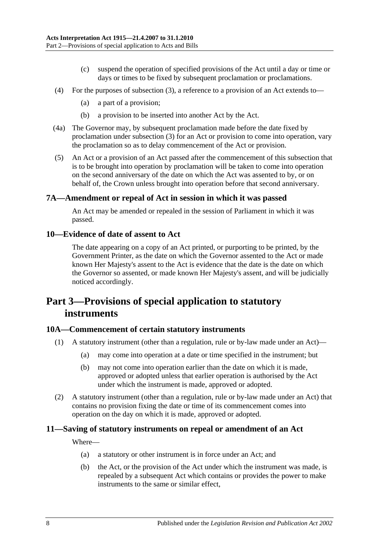- (c) suspend the operation of specified provisions of the Act until a day or time or days or times to be fixed by subsequent proclamation or proclamations.
- (4) For the purposes of [subsection](#page-6-7) (3), a reference to a provision of an Act extends to—
	- (a) a part of a provision;
	- (b) a provision to be inserted into another Act by the Act.
- (4a) The Governor may, by subsequent proclamation made before the date fixed by proclamation under [subsection](#page-6-7) (3) for an Act or provision to come into operation, vary the proclamation so as to delay commencement of the Act or provision.
- (5) An Act or a provision of an Act passed after the commencement of this subsection that is to be brought into operation by proclamation will be taken to come into operation on the second anniversary of the date on which the Act was assented to by, or on behalf of, the Crown unless brought into operation before that second anniversary.

#### <span id="page-7-0"></span>**7A—Amendment or repeal of Act in session in which it was passed**

An Act may be amended or repealed in the session of Parliament in which it was passed.

#### <span id="page-7-1"></span>**10—Evidence of date of assent to Act**

The date appearing on a copy of an Act printed, or purporting to be printed, by the Government Printer, as the date on which the Governor assented to the Act or made known Her Majesty's assent to the Act is evidence that the date is the date on which the Governor so assented, or made known Her Majesty's assent, and will be judicially noticed accordingly.

## <span id="page-7-2"></span>**Part 3—Provisions of special application to statutory instruments**

#### <span id="page-7-3"></span>**10A—Commencement of certain statutory instruments**

- (1) A statutory instrument (other than a regulation, rule or by-law made under an Act)—
	- (a) may come into operation at a date or time specified in the instrument; but
	- (b) may not come into operation earlier than the date on which it is made, approved or adopted unless that earlier operation is authorised by the Act under which the instrument is made, approved or adopted.
- (2) A statutory instrument (other than a regulation, rule or by-law made under an Act) that contains no provision fixing the date or time of its commencement comes into operation on the day on which it is made, approved or adopted.

## <span id="page-7-4"></span>**11—Saving of statutory instruments on repeal or amendment of an Act**

Where—

- (a) a statutory or other instrument is in force under an Act; and
- (b) the Act, or the provision of the Act under which the instrument was made, is repealed by a subsequent Act which contains or provides the power to make instruments to the same or similar effect,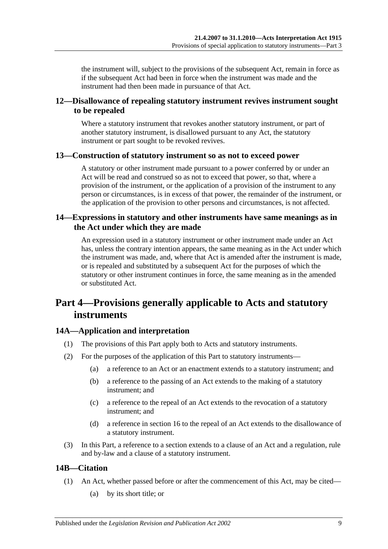the instrument will, subject to the provisions of the subsequent Act, remain in force as if the subsequent Act had been in force when the instrument was made and the instrument had then been made in pursuance of that Act.

## <span id="page-8-0"></span>**12—Disallowance of repealing statutory instrument revives instrument sought to be repealed**

Where a statutory instrument that revokes another statutory instrument, or part of another statutory instrument, is disallowed pursuant to any Act, the statutory instrument or part sought to be revoked revives.

## <span id="page-8-1"></span>**13—Construction of statutory instrument so as not to exceed power**

A statutory or other instrument made pursuant to a power conferred by or under an Act will be read and construed so as not to exceed that power, so that, where a provision of the instrument, or the application of a provision of the instrument to any person or circumstances, is in excess of that power, the remainder of the instrument, or the application of the provision to other persons and circumstances, is not affected.

## <span id="page-8-2"></span>**14—Expressions in statutory and other instruments have same meanings as in the Act under which they are made**

An expression used in a statutory instrument or other instrument made under an Act has, unless the contrary intention appears, the same meaning as in the Act under which the instrument was made, and, where that Act is amended after the instrument is made, or is repealed and substituted by a subsequent Act for the purposes of which the statutory or other instrument continues in force, the same meaning as in the amended or substituted Act.

## <span id="page-8-3"></span>**Part 4—Provisions generally applicable to Acts and statutory instruments**

## <span id="page-8-4"></span>**14A—Application and interpretation**

- (1) The provisions of this Part apply both to Acts and statutory instruments.
- (2) For the purposes of the application of this Part to statutory instruments—
	- (a) a reference to an Act or an enactment extends to a statutory instrument; and
	- (b) a reference to the passing of an Act extends to the making of a statutory instrument; and
	- (c) a reference to the repeal of an Act extends to the revocation of a statutory instrument; and
	- (d) a reference in [section](#page-10-2) 16 to the repeal of an Act extends to the disallowance of a statutory instrument.
- (3) In this Part, a reference to a section extends to a clause of an Act and a regulation, rule and by-law and a clause of a statutory instrument.

## <span id="page-8-5"></span>**14B—Citation**

- (1) An Act, whether passed before or after the commencement of this Act, may be cited—
	- (a) by its short title; or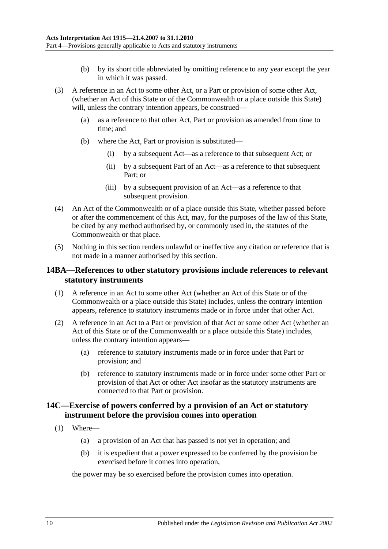- (b) by its short title abbreviated by omitting reference to any year except the year in which it was passed.
- (3) A reference in an Act to some other Act, or a Part or provision of some other Act, (whether an Act of this State or of the Commonwealth or a place outside this State) will, unless the contrary intention appears, be construed—
	- (a) as a reference to that other Act, Part or provision as amended from time to time; and
	- (b) where the Act, Part or provision is substituted—
		- (i) by a subsequent Act—as a reference to that subsequent Act; or
		- (ii) by a subsequent Part of an Act—as a reference to that subsequent Part; or
		- (iii) by a subsequent provision of an Act—as a reference to that subsequent provision.
- (4) An Act of the Commonwealth or of a place outside this State, whether passed before or after the commencement of this Act, may, for the purposes of the law of this State, be cited by any method authorised by, or commonly used in, the statutes of the Commonwealth or that place.
- (5) Nothing in this section renders unlawful or ineffective any citation or reference that is not made in a manner authorised by this section.

## <span id="page-9-0"></span>**14BA—References to other statutory provisions include references to relevant statutory instruments**

- (1) A reference in an Act to some other Act (whether an Act of this State or of the Commonwealth or a place outside this State) includes, unless the contrary intention appears, reference to statutory instruments made or in force under that other Act.
- (2) A reference in an Act to a Part or provision of that Act or some other Act (whether an Act of this State or of the Commonwealth or a place outside this State) includes, unless the contrary intention appears—
	- (a) reference to statutory instruments made or in force under that Part or provision; and
	- (b) reference to statutory instruments made or in force under some other Part or provision of that Act or other Act insofar as the statutory instruments are connected to that Part or provision.

## <span id="page-9-1"></span>**14C—Exercise of powers conferred by a provision of an Act or statutory instrument before the provision comes into operation**

- <span id="page-9-2"></span>(1) Where—
	- (a) a provision of an Act that has passed is not yet in operation; and
	- (b) it is expedient that a power expressed to be conferred by the provision be exercised before it comes into operation,

the power may be so exercised before the provision comes into operation.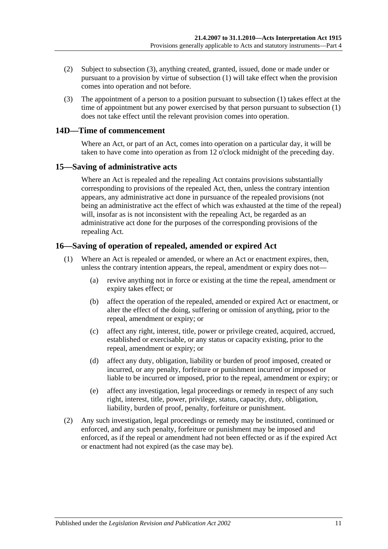- (2) Subject to [subsection](#page-10-3) (3), anything created, granted, issued, done or made under or pursuant to a provision by virtue of [subsection](#page-9-2) (1) will take effect when the provision comes into operation and not before.
- <span id="page-10-3"></span>(3) The appointment of a person to a position pursuant to [subsection](#page-9-2) (1) takes effect at the time of appointment but any power exercised by that person pursuant to [subsection](#page-9-2) (1) does not take effect until the relevant provision comes into operation.

## <span id="page-10-0"></span>**14D—Time of commencement**

Where an Act, or part of an Act, comes into operation on a particular day, it will be taken to have come into operation as from 12 o'clock midnight of the preceding day.

## <span id="page-10-1"></span>**15—Saving of administrative acts**

Where an Act is repealed and the repealing Act contains provisions substantially corresponding to provisions of the repealed Act, then, unless the contrary intention appears, any administrative act done in pursuance of the repealed provisions (not being an administrative act the effect of which was exhausted at the time of the repeal) will, insofar as is not inconsistent with the repealing Act, be regarded as an administrative act done for the purposes of the corresponding provisions of the repealing Act.

## <span id="page-10-2"></span>**16—Saving of operation of repealed, amended or expired Act**

- (1) Where an Act is repealed or amended, or where an Act or enactment expires, then, unless the contrary intention appears, the repeal, amendment or expiry does not—
	- (a) revive anything not in force or existing at the time the repeal, amendment or expiry takes effect; or
	- (b) affect the operation of the repealed, amended or expired Act or enactment, or alter the effect of the doing, suffering or omission of anything, prior to the repeal, amendment or expiry; or
	- (c) affect any right, interest, title, power or privilege created, acquired, accrued, established or exercisable, or any status or capacity existing, prior to the repeal, amendment or expiry; or
	- (d) affect any duty, obligation, liability or burden of proof imposed, created or incurred, or any penalty, forfeiture or punishment incurred or imposed or liable to be incurred or imposed, prior to the repeal, amendment or expiry; or
	- (e) affect any investigation, legal proceedings or remedy in respect of any such right, interest, title, power, privilege, status, capacity, duty, obligation, liability, burden of proof, penalty, forfeiture or punishment.
- (2) Any such investigation, legal proceedings or remedy may be instituted, continued or enforced, and any such penalty, forfeiture or punishment may be imposed and enforced, as if the repeal or amendment had not been effected or as if the expired Act or enactment had not expired (as the case may be).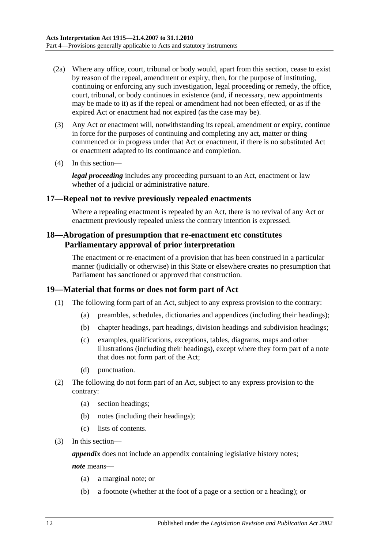- (2a) Where any office, court, tribunal or body would, apart from this section, cease to exist by reason of the repeal, amendment or expiry, then, for the purpose of instituting, continuing or enforcing any such investigation, legal proceeding or remedy, the office, court, tribunal, or body continues in existence (and, if necessary, new appointments may be made to it) as if the repeal or amendment had not been effected, or as if the expired Act or enactment had not expired (as the case may be).
- (3) Any Act or enactment will, notwithstanding its repeal, amendment or expiry, continue in force for the purposes of continuing and completing any act, matter or thing commenced or in progress under that Act or enactment, if there is no substituted Act or enactment adapted to its continuance and completion.
- (4) In this section—

*legal proceeding* includes any proceeding pursuant to an Act, enactment or law whether of a judicial or administrative nature.

#### <span id="page-11-0"></span>**17—Repeal not to revive previously repealed enactments**

Where a repealing enactment is repealed by an Act, there is no revival of any Act or enactment previously repealed unless the contrary intention is expressed.

## <span id="page-11-1"></span>**18—Abrogation of presumption that re-enactment etc constitutes Parliamentary approval of prior interpretation**

The enactment or re-enactment of a provision that has been construed in a particular manner (judicially or otherwise) in this State or elsewhere creates no presumption that Parliament has sanctioned or approved that construction.

#### <span id="page-11-2"></span>**19—Material that forms or does not form part of Act**

- (1) The following form part of an Act, subject to any express provision to the contrary:
	- (a) preambles, schedules, dictionaries and appendices (including their headings);
	- (b) chapter headings, part headings, division headings and subdivision headings;
	- (c) examples, qualifications, exceptions, tables, diagrams, maps and other illustrations (including their headings), except where they form part of a note that does not form part of the Act;
	- (d) punctuation.
- (2) The following do not form part of an Act, subject to any express provision to the contrary:
	- (a) section headings;
	- (b) notes (including their headings);
	- (c) lists of contents.
- (3) In this section—

*appendix* does not include an appendix containing legislative history notes;

*note* means—

- (a) a marginal note; or
- (b) a footnote (whether at the foot of a page or a section or a heading); or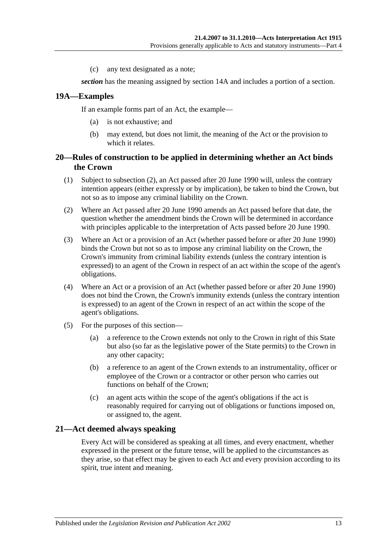(c) any text designated as a note;

*section* has the meaning assigned by [section](#page-8-4) 14A and includes a portion of a section.

#### <span id="page-12-0"></span>**19A—Examples**

If an example forms part of an Act, the example—

- (a) is not exhaustive; and
- (b) may extend, but does not limit, the meaning of the Act or the provision to which it relates.

## <span id="page-12-1"></span>**20—Rules of construction to be applied in determining whether an Act binds the Crown**

- (1) Subject to [subsection](#page-12-3) (2), an Act passed after 20 June 1990 will, unless the contrary intention appears (either expressly or by implication), be taken to bind the Crown, but not so as to impose any criminal liability on the Crown.
- <span id="page-12-3"></span>(2) Where an Act passed after 20 June 1990 amends an Act passed before that date, the question whether the amendment binds the Crown will be determined in accordance with principles applicable to the interpretation of Acts passed before 20 June 1990.
- (3) Where an Act or a provision of an Act (whether passed before or after 20 June 1990) binds the Crown but not so as to impose any criminal liability on the Crown, the Crown's immunity from criminal liability extends (unless the contrary intention is expressed) to an agent of the Crown in respect of an act within the scope of the agent's obligations.
- (4) Where an Act or a provision of an Act (whether passed before or after 20 June 1990) does not bind the Crown, the Crown's immunity extends (unless the contrary intention is expressed) to an agent of the Crown in respect of an act within the scope of the agent's obligations.
- (5) For the purposes of this section—
	- (a) a reference to the Crown extends not only to the Crown in right of this State but also (so far as the legislative power of the State permits) to the Crown in any other capacity;
	- (b) a reference to an agent of the Crown extends to an instrumentality, officer or employee of the Crown or a contractor or other person who carries out functions on behalf of the Crown;
	- (c) an agent acts within the scope of the agent's obligations if the act is reasonably required for carrying out of obligations or functions imposed on, or assigned to, the agent.

## <span id="page-12-2"></span>**21—Act deemed always speaking**

Every Act will be considered as speaking at all times, and every enactment, whether expressed in the present or the future tense, will be applied to the circumstances as they arise, so that effect may be given to each Act and every provision according to its spirit, true intent and meaning.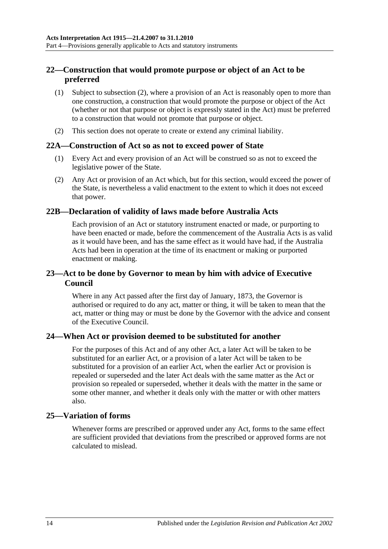## <span id="page-13-0"></span>**22—Construction that would promote purpose or object of an Act to be preferred**

- (1) Subject to [subsection](#page-13-6) (2), where a provision of an Act is reasonably open to more than one construction, a construction that would promote the purpose or object of the Act (whether or not that purpose or object is expressly stated in the Act) must be preferred to a construction that would not promote that purpose or object.
- <span id="page-13-6"></span>(2) This section does not operate to create or extend any criminal liability.

#### <span id="page-13-1"></span>**22A—Construction of Act so as not to exceed power of State**

- (1) Every Act and every provision of an Act will be construed so as not to exceed the legislative power of the State.
- (2) Any Act or provision of an Act which, but for this section, would exceed the power of the State, is nevertheless a valid enactment to the extent to which it does not exceed that power.

## <span id="page-13-2"></span>**22B—Declaration of validity of laws made before Australia Acts**

Each provision of an Act or statutory instrument enacted or made, or purporting to have been enacted or made, before the commencement of the Australia Acts is as valid as it would have been, and has the same effect as it would have had, if the Australia Acts had been in operation at the time of its enactment or making or purported enactment or making.

## <span id="page-13-3"></span>**23—Act to be done by Governor to mean by him with advice of Executive Council**

Where in any Act passed after the first day of January, 1873, the Governor is authorised or required to do any act, matter or thing, it will be taken to mean that the act, matter or thing may or must be done by the Governor with the advice and consent of the Executive Council.

## <span id="page-13-4"></span>**24—When Act or provision deemed to be substituted for another**

For the purposes of this Act and of any other Act, a later Act will be taken to be substituted for an earlier Act, or a provision of a later Act will be taken to be substituted for a provision of an earlier Act, when the earlier Act or provision is repealed or superseded and the later Act deals with the same matter as the Act or provision so repealed or superseded, whether it deals with the matter in the same or some other manner, and whether it deals only with the matter or with other matters also.

#### <span id="page-13-5"></span>**25—Variation of forms**

Whenever forms are prescribed or approved under any Act, forms to the same effect are sufficient provided that deviations from the prescribed or approved forms are not calculated to mislead.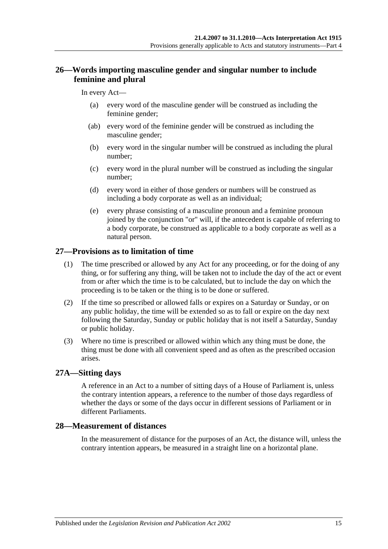## <span id="page-14-0"></span>**26—Words importing masculine gender and singular number to include feminine and plural**

#### In every Act—

- (a) every word of the masculine gender will be construed as including the feminine gender;
- (ab) every word of the feminine gender will be construed as including the masculine gender;
- (b) every word in the singular number will be construed as including the plural number;
- (c) every word in the plural number will be construed as including the singular number;
- (d) every word in either of those genders or numbers will be construed as including a body corporate as well as an individual;
- (e) every phrase consisting of a masculine pronoun and a feminine pronoun joined by the conjunction "or" will, if the antecedent is capable of referring to a body corporate, be construed as applicable to a body corporate as well as a natural person.

## <span id="page-14-1"></span>**27—Provisions as to limitation of time**

- (1) The time prescribed or allowed by any Act for any proceeding, or for the doing of any thing, or for suffering any thing, will be taken not to include the day of the act or event from or after which the time is to be calculated, but to include the day on which the proceeding is to be taken or the thing is to be done or suffered.
- (2) If the time so prescribed or allowed falls or expires on a Saturday or Sunday, or on any public holiday, the time will be extended so as to fall or expire on the day next following the Saturday, Sunday or public holiday that is not itself a Saturday, Sunday or public holiday.
- (3) Where no time is prescribed or allowed within which any thing must be done, the thing must be done with all convenient speed and as often as the prescribed occasion arises.

#### <span id="page-14-2"></span>**27A—Sitting days**

A reference in an Act to a number of sitting days of a House of Parliament is, unless the contrary intention appears, a reference to the number of those days regardless of whether the days or some of the days occur in different sessions of Parliament or in different Parliaments.

## <span id="page-14-3"></span>**28—Measurement of distances**

In the measurement of distance for the purposes of an Act, the distance will, unless the contrary intention appears, be measured in a straight line on a horizontal plane.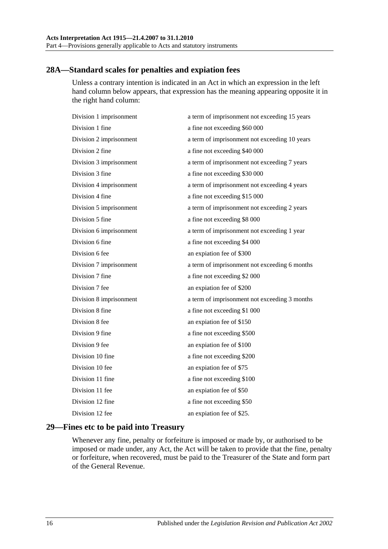## <span id="page-15-0"></span>**28A—Standard scales for penalties and expiation fees**

Unless a contrary intention is indicated in an Act in which an expression in the left hand column below appears, that expression has the meaning appearing opposite it in the right hand column:

| Division 1 imprisonment | a term of imprisonment not exceeding 15 years |
|-------------------------|-----------------------------------------------|
| Division 1 fine         | a fine not exceeding \$60 000                 |
| Division 2 imprisonment | a term of imprisonment not exceeding 10 years |
| Division 2 fine         | a fine not exceeding \$40 000                 |
| Division 3 imprisonment | a term of imprisonment not exceeding 7 years  |
| Division 3 fine         | a fine not exceeding \$30 000                 |
| Division 4 imprisonment | a term of imprisonment not exceeding 4 years  |
| Division 4 fine         | a fine not exceeding \$15 000                 |
| Division 5 imprisonment | a term of imprisonment not exceeding 2 years  |
| Division 5 fine         | a fine not exceeding \$8 000                  |
| Division 6 imprisonment | a term of imprisonment not exceeding 1 year   |
| Division 6 fine         | a fine not exceeding \$4 000                  |
| Division 6 fee          | an expiation fee of \$300                     |
| Division 7 imprisonment | a term of imprisonment not exceeding 6 months |
| Division 7 fine         | a fine not exceeding \$2 000                  |
| Division 7 fee          | an expiation fee of \$200                     |
| Division 8 imprisonment | a term of imprisonment not exceeding 3 months |
| Division 8 fine         | a fine not exceeding \$1 000                  |
| Division 8 fee          | an expiation fee of \$150                     |
| Division 9 fine         | a fine not exceeding \$500                    |
| Division 9 fee          | an expiation fee of \$100                     |
| Division 10 fine        | a fine not exceeding \$200                    |
| Division 10 fee         | an expiation fee of \$75                      |
| Division 11 fine        | a fine not exceeding \$100                    |
| Division 11 fee         | an expiation fee of \$50                      |
| Division 12 fine        | a fine not exceeding \$50                     |
| Division 12 fee         | an expiation fee of \$25.                     |
|                         |                                               |

## <span id="page-15-1"></span>**29—Fines etc to be paid into Treasury**

Whenever any fine, penalty or forfeiture is imposed or made by, or authorised to be imposed or made under, any Act, the Act will be taken to provide that the fine, penalty or forfeiture, when recovered, must be paid to the Treasurer of the State and form part of the General Revenue.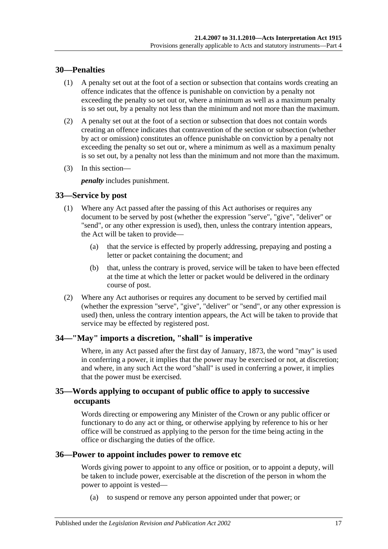## <span id="page-16-0"></span>**30—Penalties**

- (1) A penalty set out at the foot of a section or subsection that contains words creating an offence indicates that the offence is punishable on conviction by a penalty not exceeding the penalty so set out or, where a minimum as well as a maximum penalty is so set out, by a penalty not less than the minimum and not more than the maximum.
- (2) A penalty set out at the foot of a section or subsection that does not contain words creating an offence indicates that contravention of the section or subsection (whether by act or omission) constitutes an offence punishable on conviction by a penalty not exceeding the penalty so set out or, where a minimum as well as a maximum penalty is so set out, by a penalty not less than the minimum and not more than the maximum.
- (3) In this section—

*penalty* includes punishment.

#### <span id="page-16-1"></span>**33—Service by post**

- (1) Where any Act passed after the passing of this Act authorises or requires any document to be served by post (whether the expression "serve", "give", "deliver" or "send", or any other expression is used), then, unless the contrary intention appears, the Act will be taken to provide—
	- (a) that the service is effected by properly addressing, prepaying and posting a letter or packet containing the document; and
	- (b) that, unless the contrary is proved, service will be taken to have been effected at the time at which the letter or packet would be delivered in the ordinary course of post.
- (2) Where any Act authorises or requires any document to be served by certified mail (whether the expression "serve", "give", "deliver" or "send", or any other expression is used) then, unless the contrary intention appears, the Act will be taken to provide that service may be effected by registered post.

## <span id="page-16-2"></span>**34—"May" imports a discretion, "shall" is imperative**

Where, in any Act passed after the first day of January, 1873, the word "may" is used in conferring a power, it implies that the power may be exercised or not, at discretion; and where, in any such Act the word "shall" is used in conferring a power, it implies that the power must be exercised.

## <span id="page-16-3"></span>**35—Words applying to occupant of public office to apply to successive occupants**

Words directing or empowering any Minister of the Crown or any public officer or functionary to do any act or thing, or otherwise applying by reference to his or her office will be construed as applying to the person for the time being acting in the office or discharging the duties of the office.

#### <span id="page-16-4"></span>**36—Power to appoint includes power to remove etc**

Words giving power to appoint to any office or position, or to appoint a deputy, will be taken to include power, exercisable at the discretion of the person in whom the power to appoint is vested—

(a) to suspend or remove any person appointed under that power; or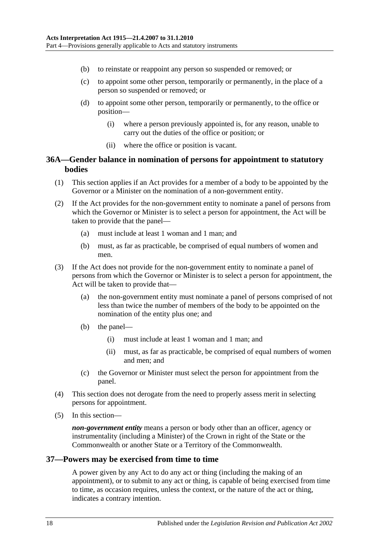- (b) to reinstate or reappoint any person so suspended or removed; or
- (c) to appoint some other person, temporarily or permanently, in the place of a person so suspended or removed; or
- (d) to appoint some other person, temporarily or permanently, to the office or position—
	- (i) where a person previously appointed is, for any reason, unable to carry out the duties of the office or position; or
	- (ii) where the office or position is vacant.

## <span id="page-17-0"></span>**36A—Gender balance in nomination of persons for appointment to statutory bodies**

- (1) This section applies if an Act provides for a member of a body to be appointed by the Governor or a Minister on the nomination of a non-government entity.
- (2) If the Act provides for the non-government entity to nominate a panel of persons from which the Governor or Minister is to select a person for appointment, the Act will be taken to provide that the panel—
	- (a) must include at least 1 woman and 1 man; and
	- (b) must, as far as practicable, be comprised of equal numbers of women and men.
- (3) If the Act does not provide for the non-government entity to nominate a panel of persons from which the Governor or Minister is to select a person for appointment, the Act will be taken to provide that-
	- (a) the non-government entity must nominate a panel of persons comprised of not less than twice the number of members of the body to be appointed on the nomination of the entity plus one; and
	- (b) the panel—
		- (i) must include at least 1 woman and 1 man; and
		- (ii) must, as far as practicable, be comprised of equal numbers of women and men; and
	- (c) the Governor or Minister must select the person for appointment from the panel.
- (4) This section does not derogate from the need to properly assess merit in selecting persons for appointment.
- (5) In this section—

*non-government entity* means a person or body other than an officer, agency or instrumentality (including a Minister) of the Crown in right of the State or the Commonwealth or another State or a Territory of the Commonwealth.

#### <span id="page-17-1"></span>**37—Powers may be exercised from time to time**

A power given by any Act to do any act or thing (including the making of an appointment), or to submit to any act or thing, is capable of being exercised from time to time, as occasion requires, unless the context, or the nature of the act or thing, indicates a contrary intention.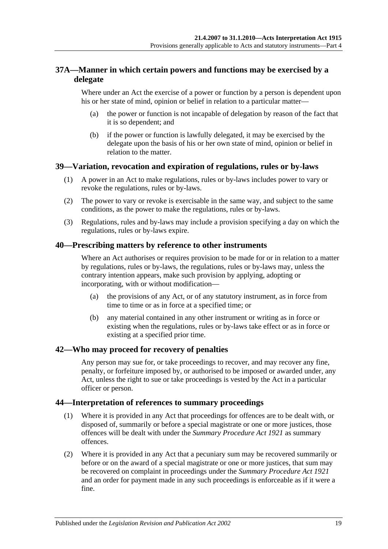## <span id="page-18-0"></span>**37A—Manner in which certain powers and functions may be exercised by a delegate**

Where under an Act the exercise of a power or function by a person is dependent upon his or her state of mind, opinion or belief in relation to a particular matter—

- (a) the power or function is not incapable of delegation by reason of the fact that it is so dependent; and
- (b) if the power or function is lawfully delegated, it may be exercised by the delegate upon the basis of his or her own state of mind, opinion or belief in relation to the matter.

## <span id="page-18-1"></span>**39—Variation, revocation and expiration of regulations, rules or by-laws**

- (1) A power in an Act to make regulations, rules or by-laws includes power to vary or revoke the regulations, rules or by-laws.
- (2) The power to vary or revoke is exercisable in the same way, and subject to the same conditions, as the power to make the regulations, rules or by-laws.
- (3) Regulations, rules and by-laws may include a provision specifying a day on which the regulations, rules or by-laws expire.

#### <span id="page-18-2"></span>**40—Prescribing matters by reference to other instruments**

Where an Act authorises or requires provision to be made for or in relation to a matter by regulations, rules or by-laws, the regulations, rules or by-laws may, unless the contrary intention appears, make such provision by applying, adopting or incorporating, with or without modification—

- (a) the provisions of any Act, or of any statutory instrument, as in force from time to time or as in force at a specified time; or
- (b) any material contained in any other instrument or writing as in force or existing when the regulations, rules or by-laws take effect or as in force or existing at a specified prior time.

#### <span id="page-18-3"></span>**42—Who may proceed for recovery of penalties**

Any person may sue for, or take proceedings to recover, and may recover any fine, penalty, or forfeiture imposed by, or authorised to be imposed or awarded under, any Act, unless the right to sue or take proceedings is vested by the Act in a particular officer or person.

#### <span id="page-18-4"></span>**44—Interpretation of references to summary proceedings**

- (1) Where it is provided in any Act that proceedings for offences are to be dealt with, or disposed of, summarily or before a special magistrate or one or more justices, those offences will be dealt with under the *[Summary Procedure Act](http://www.legislation.sa.gov.au/index.aspx?action=legref&type=act&legtitle=Summary%20Procedure%20Act%201921) 1921* as summary offences.
- (2) Where it is provided in any Act that a pecuniary sum may be recovered summarily or before or on the award of a special magistrate or one or more justices, that sum may be recovered on complaint in proceedings under the *[Summary Procedure Act](http://www.legislation.sa.gov.au/index.aspx?action=legref&type=act&legtitle=Summary%20Procedure%20Act%201921) 1921* and an order for payment made in any such proceedings is enforceable as if it were a fine.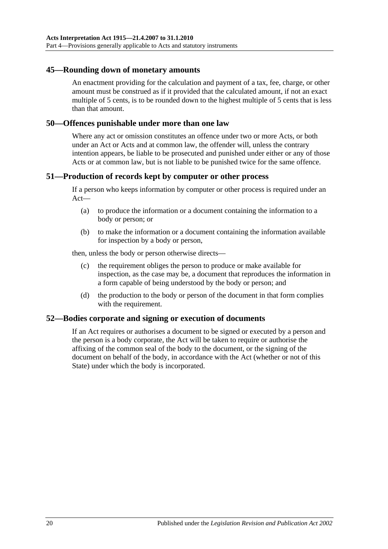#### <span id="page-19-0"></span>**45—Rounding down of monetary amounts**

An enactment providing for the calculation and payment of a tax, fee, charge, or other amount must be construed as if it provided that the calculated amount, if not an exact multiple of 5 cents, is to be rounded down to the highest multiple of 5 cents that is less than that amount.

#### <span id="page-19-1"></span>**50—Offences punishable under more than one law**

Where any act or omission constitutes an offence under two or more Acts, or both under an Act or Acts and at common law, the offender will, unless the contrary intention appears, be liable to be prosecuted and punished under either or any of those Acts or at common law, but is not liable to be punished twice for the same offence.

#### <span id="page-19-2"></span>**51—Production of records kept by computer or other process**

If a person who keeps information by computer or other process is required under an Act—

- (a) to produce the information or a document containing the information to a body or person; or
- (b) to make the information or a document containing the information available for inspection by a body or person,

then, unless the body or person otherwise directs—

- (c) the requirement obliges the person to produce or make available for inspection, as the case may be, a document that reproduces the information in a form capable of being understood by the body or person; and
- (d) the production to the body or person of the document in that form complies with the requirement.

#### <span id="page-19-3"></span>**52—Bodies corporate and signing or execution of documents**

If an Act requires or authorises a document to be signed or executed by a person and the person is a body corporate, the Act will be taken to require or authorise the affixing of the common seal of the body to the document, or the signing of the document on behalf of the body, in accordance with the Act (whether or not of this State) under which the body is incorporated.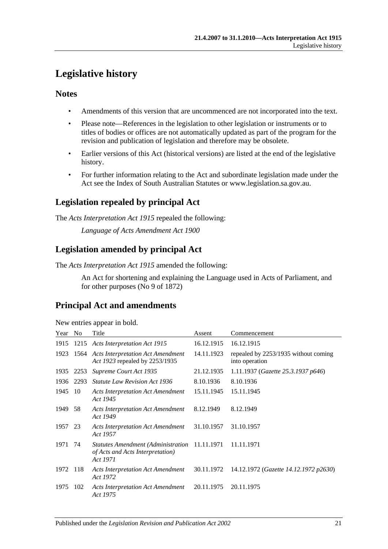## <span id="page-20-0"></span>**Legislative history**

## **Notes**

- Amendments of this version that are uncommenced are not incorporated into the text.
- Please note—References in the legislation to other legislation or instruments or to titles of bodies or offices are not automatically updated as part of the program for the revision and publication of legislation and therefore may be obsolete.
- Earlier versions of this Act (historical versions) are listed at the end of the legislative history.
- For further information relating to the Act and subordinate legislation made under the Act see the Index of South Australian Statutes or www.legislation.sa.gov.au.

## **Legislation repealed by principal Act**

The *Acts Interpretation Act 1915* repealed the following:

*Language of Acts Amendment Act 1900*

## **Legislation amended by principal Act**

The *Acts Interpretation Act 1915* amended the following:

An Act for shortening and explaining the Language used in Acts of Parliament, and for other purposes (No 9 of 1872)

## **Principal Act and amendments**

| New entries appear in bold. |  |  |
|-----------------------------|--|--|
|                             |  |  |

| Year | No.  | Title                                                                                         | Assent     | Commencement                                           |
|------|------|-----------------------------------------------------------------------------------------------|------------|--------------------------------------------------------|
| 1915 |      | 1215 Acts Interpretation Act 1915                                                             | 16.12.1915 | 16.12.1915                                             |
| 1923 |      | 1564 Acts Interpretation Act Amendment<br>Act 1923 repealed by 2253/1935                      | 14.11.1923 | repealed by 2253/1935 without coming<br>into operation |
| 1935 | 2253 | Supreme Court Act 1935                                                                        | 21.12.1935 | 1.11.1937 (Gazette 25.3.1937 p646)                     |
| 1936 | 2293 | <b>Statute Law Revision Act 1936</b>                                                          | 8.10.1936  | 8.10.1936                                              |
| 1945 | 10   | <b>Acts Interpretation Act Amendment</b><br>Act 1945                                          | 15.11.1945 | 15.11.1945                                             |
| 1949 | 58   | <b>Acts Interpretation Act Amendment</b><br>Act 1949                                          | 8.12.1949  | 8.12.1949                                              |
| 1957 | 23   | <b>Acts Interpretation Act Amendment</b><br>Act 1957                                          | 31.10.1957 | 31.10.1957                                             |
| 1971 | 74   | Statutes Amendment (Administration 11.11.1971<br>of Acts and Acts Interpretation)<br>Act 1971 |            | 11.11.1971                                             |
| 1972 | 118  | <b>Acts Interpretation Act Amendment</b><br>Act 1972                                          | 30.11.1972 | 14.12.1972 (Gazette 14.12.1972 p2630)                  |
| 1975 | 102  | <b>Acts Interpretation Act Amendment</b><br>Act 1975                                          | 20.11.1975 | 20.11.1975                                             |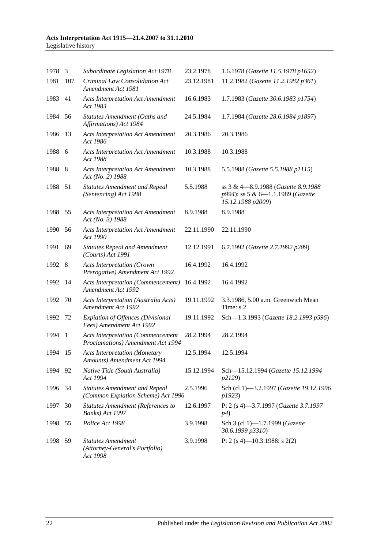#### **Acts Interpretation Act 1915—21.4.2007 to 31.1.2010** Legislative history

| 1978 3  |     | Subordinate Legislation Act 1978                                              | 23.2.1978  | 1.6.1978 (Gazette 11.5.1978 p1652)                                                             |
|---------|-----|-------------------------------------------------------------------------------|------------|------------------------------------------------------------------------------------------------|
| 1981    | 107 | Criminal Law Consolidation Act<br>Amendment Act 1981                          | 23.12.1981 | 11.2.1982 (Gazette 11.2.1982 p361)                                                             |
| 1983    | 41  | <b>Acts Interpretation Act Amendment</b><br>Act 1983                          | 16.6.1983  | 1.7.1983 (Gazette 30.6.1983 p1754)                                                             |
| 1984    | 56  | Statutes Amendment (Oaths and<br>Affirmations) Act 1984                       | 24.5.1984  | 1.7.1984 (Gazette 28.6.1984 p1897)                                                             |
| 1986    | 13  | <b>Acts Interpretation Act Amendment</b><br>Act 1986                          | 20.3.1986  | 20.3.1986                                                                                      |
| 1988    | 6   | <b>Acts Interpretation Act Amendment</b><br>Act 1988                          | 10.3.1988  | 10.3.1988                                                                                      |
| 1988    | - 8 | <b>Acts Interpretation Act Amendment</b><br>Act (No. 2) 1988                  | 10.3.1988  | 5.5.1988 (Gazette 5.5.1988 p1115)                                                              |
| 1988    | 51  | <b>Statutes Amendment and Repeal</b><br>(Sentencing) Act 1988                 | 5.5.1988   | ss 3 & 4-8.9.1988 (Gazette 8.9.1988)<br>p994); ss 5 & 6-1.1.1989 (Gazette<br>15.12.1988 p2009) |
| 1988 55 |     | <b>Acts Interpretation Act Amendment</b><br>Act (No. 3) 1988                  | 8.9.1988   | 8.9.1988                                                                                       |
| 1990    | 56  | <b>Acts Interpretation Act Amendment</b><br>Act 1990                          | 22.11.1990 | 22.11.1990                                                                                     |
| 1991    | 69  | <b>Statutes Repeal and Amendment</b><br>(Courts) Act 1991                     | 12.12.1991 | 6.7.1992 (Gazette 2.7.1992 p209)                                                               |
| 1992 8  |     | <b>Acts Interpretation (Crown</b><br>Prerogative) Amendment Act 1992          | 16.4.1992  | 16.4.1992                                                                                      |
| 1992    | 14  | <b>Acts Interpretation (Commencement)</b><br>Amendment Act 1992               | 16.4.1992  | 16.4.1992                                                                                      |
| 1992    | 70  | Acts Interpretation (Australia Acts)<br>Amendment Act 1992                    | 19.11.1992 | 3.3.1986, 5.00 a.m. Greenwich Mean<br>Time: s 2                                                |
| 1992    | 72  | <b>Expiation of Offences (Divisional</b><br>Fees) Amendment Act 1992          | 19.11.1992 | Sch-1.3.1993 (Gazette 18.2.1993 p596)                                                          |
| 1994    | - 1 | <b>Acts Interpretation (Commencement</b><br>Proclamations) Amendment Act 1994 | 28.2.1994  | 28.2.1994                                                                                      |
| 1994    | 15  | <b>Acts Interpretation (Monetary</b><br>Amounts) Amendment Act 1994           | 12.5.1994  | 12.5.1994                                                                                      |
| 1994    | 92  | Native Title (South Australia)<br>Act 1994                                    | 15.12.1994 | Sch-15.12.1994 (Gazette 15.12.1994<br>p2129)                                                   |
| 1996 34 |     | <b>Statutes Amendment and Repeal</b><br>(Common Expiation Scheme) Act 1996    | 2.5.1996   | Sch (cl 1)-3.2.1997 (Gazette 19.12.1996<br>p1923)                                              |
| 1997    | 30  | <b>Statutes Amendment (References to</b><br>Banks) Act 1997                   | 12.6.1997  | Pt 2 (s 4)-3.7.1997 (Gazette 3.7.1997<br>p4)                                                   |
| 1998 55 |     | Police Act 1998                                                               | 3.9.1998   | Sch 3 (cl 1)-1.7.1999 (Gazette<br>30.6.1999 p3310)                                             |
| 1998    | 59  | <b>Statutes Amendment</b><br>(Attorney-General's Portfolio)<br>Act 1998       | 3.9.1998   | Pt 2 (s 4)–10.3.1988: s 2(2)                                                                   |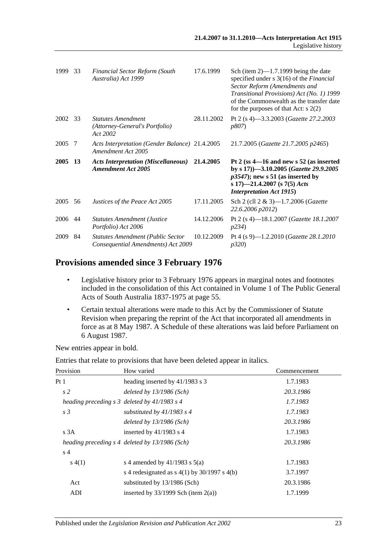| 1999 | 33  | <b>Financial Sector Reform (South</b><br>Australia) Act 1999            | 17.6.1999  | Sch (item $2$ )—1.7.1999 being the date<br>specified under $s \, 3(16)$ of the <i>Financial</i><br>Sector Reform (Amendments and<br>Transitional Provisions) Act (No. 1) 1999<br>of the Commonwealth as the transfer date<br>for the purposes of that Act: $s$ 2(2) |
|------|-----|-------------------------------------------------------------------------|------------|---------------------------------------------------------------------------------------------------------------------------------------------------------------------------------------------------------------------------------------------------------------------|
| 2002 | -33 | <b>Statutes Amendment</b><br>(Attorney-General's Portfolio)<br>Act 2002 | 28.11.2002 | Pt 2 (s 4)-3.3.2003 (Gazette 27.2.2003<br><i>p807</i> )                                                                                                                                                                                                             |
| 2005 | -7  | Acts Interpretation (Gender Balance) 21.4.2005<br>Amendment Act 2005    |            | 21.7.2005 (Gazette 21.7.2005 p2465)                                                                                                                                                                                                                                 |
|      |     |                                                                         |            |                                                                                                                                                                                                                                                                     |
| 2005 | -13 | <b>Acts Interpretation (Miscellaneous)</b><br><b>Amendment Act 2005</b> | 21.4.2005  | Pt 2 (ss $4-16$ and new s 52 (as inserted<br>by s 17) -3.10.2005 (Gazette 29.9.2005<br>$p3547$ ; new s 51 (as inserted by<br>s 17)-21.4.2007 (s 7(5) Acts<br><b>Interpretation Act 1915)</b>                                                                        |
| 2005 | 56  | Justices of the Peace Act 2005                                          | 17.11.2005 | Sch 2 (cll $2 \& 3$ )-1.7.2006 ( <i>Gazette</i><br>22.6.2006 p2012)                                                                                                                                                                                                 |
| 2006 | 44  | <b>Statutes Amendment (Justice</b><br>Portfolio) Act 2006               | 14.12.2006 | Pt 2 (s 4)—18.1.2007 ( <i>Gazette 18.1.2007</i><br><i>p</i> 234)                                                                                                                                                                                                    |

## **Provisions amended since 3 February 1976**

- Legislative history prior to 3 February 1976 appears in marginal notes and footnotes included in the consolidation of this Act contained in Volume 1 of The Public General Acts of South Australia 1837-1975 at page 55.
- Certain textual alterations were made to this Act by the Commissioner of Statute Revision when preparing the reprint of the Act that incorporated all amendments in force as at 8 May 1987. A Schedule of these alterations was laid before Parliament on 6 August 1987.

New entries appear in bold.

Entries that relate to provisions that have been deleted appear in italics.

| Provision      | How varied                                        | Commencement |
|----------------|---------------------------------------------------|--------------|
| Pt 1           | heading inserted by 41/1983 s 3                   | 1.7.1983     |
| s <sub>2</sub> | deleted by $13/1986$ (Sch)                        | 20.3.1986    |
|                | heading preceding $s \, 3$ deleted by 41/1983 s 4 | 1.7.1983     |
| s <sub>3</sub> | substituted by $41/1983$ s 4                      | 1.7.1983     |
|                | deleted by $13/1986$ (Sch)                        | 20.3.1986    |
| s3A            | inserted by $41/1983$ s 4                         | 1.7.1983     |
|                | heading preceding s 4 deleted by 13/1986 (Sch)    | 20.3.1986    |
| s <sub>4</sub> |                                                   |              |
| s(4(1))        | s 4 amended by $41/1983$ s $5(a)$                 | 1.7.1983     |
|                | s 4 redesignated as $s$ 4(1) by 30/1997 s 4(b)    | 3.7.1997     |
| Act            | substituted by 13/1986 (Sch)                      | 20.3.1986    |
| ADI            | inserted by $33/1999$ Sch (item 2(a))             | 1.7.1999     |
|                |                                                   |              |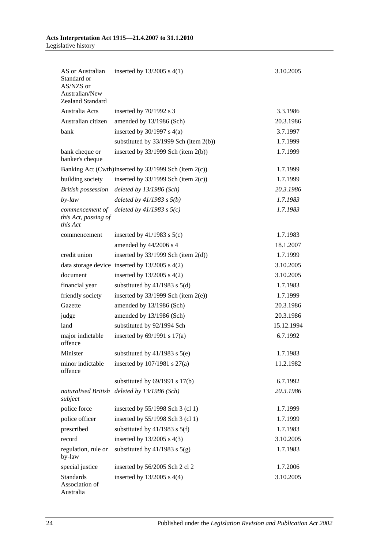| AS or Australian<br>Standard or<br>AS/NZS or<br>Australian/New<br>Zealand Standard | inserted by $13/2005$ s $4(1)$                        | 3.10.2005  |
|------------------------------------------------------------------------------------|-------------------------------------------------------|------------|
| Australia Acts                                                                     | inserted by 70/1992 s 3                               | 3.3.1986   |
| Australian citizen                                                                 | amended by 13/1986 (Sch)                              | 20.3.1986  |
| bank                                                                               | inserted by $30/1997$ s $4(a)$                        | 3.7.1997   |
|                                                                                    | substituted by 33/1999 Sch (item 2(b))                | 1.7.1999   |
| bank cheque or                                                                     | inserted by $33/1999$ Sch (item 2(b))                 | 1.7.1999   |
| banker's cheque                                                                    |                                                       |            |
|                                                                                    | Banking Act (Cwth)inserted by 33/1999 Sch (item 2(c)) | 1.7.1999   |
| building society                                                                   | inserted by $33/1999$ Sch (item $2(c)$ )              | 1.7.1999   |
| <b>British possession</b>                                                          | deleted by $13/1986$ (Sch)                            | 20.3.1986  |
| $by$ -law                                                                          | deleted by $41/1983$ s $5(b)$                         | 1.7.1983   |
| commencement of<br>this Act, passing of<br>this Act                                | deleted by $41/1983$ s $5(c)$                         | 1.7.1983   |
| commencement                                                                       | inserted by $41/1983$ s $5(c)$                        | 1.7.1983   |
|                                                                                    | amended by 44/2006 s 4                                | 18.1.2007  |
| credit union                                                                       | inserted by $33/1999$ Sch (item $2(d)$ )              | 1.7.1999   |
|                                                                                    | data storage device inserted by $13/2005$ s $4(2)$    | 3.10.2005  |
| document                                                                           | inserted by $13/2005$ s $4(2)$                        | 3.10.2005  |
| financial year                                                                     | substituted by $41/1983$ s $5(d)$                     | 1.7.1983   |
| friendly society                                                                   | inserted by $33/1999$ Sch (item $2(e)$ )              | 1.7.1999   |
| Gazette                                                                            | amended by 13/1986 (Sch)                              | 20.3.1986  |
| judge                                                                              | amended by 13/1986 (Sch)                              | 20.3.1986  |
| land                                                                               | substituted by 92/1994 Sch                            | 15.12.1994 |
| major indictable                                                                   | inserted by $69/1991$ s $17(a)$                       | 6.7.1992   |
| offence                                                                            |                                                       |            |
| Minister                                                                           | substituted by $41/1983$ s $5(e)$                     | 1.7.1983   |
| minor indictable<br>offence                                                        | inserted by $107/1981$ s $27(a)$                      | 11.2.1982  |
|                                                                                    | substituted by $69/1991$ s $17(b)$                    | 6.7.1992   |
| naturalised British<br>subject                                                     | deleted by $13/1986$ (Sch)                            | 20.3.1986  |
| police force                                                                       | inserted by 55/1998 Sch 3 (cl 1)                      | 1.7.1999   |
| police officer                                                                     | inserted by 55/1998 Sch 3 (cl 1)                      | 1.7.1999   |
| prescribed                                                                         | substituted by $41/1983$ s $5(f)$                     | 1.7.1983   |
| record                                                                             | inserted by $13/2005$ s $4(3)$                        | 3.10.2005  |
| regulation, rule or<br>by-law                                                      | substituted by $41/1983$ s $5(g)$                     | 1.7.1983   |
| special justice                                                                    | inserted by 56/2005 Sch 2 cl 2                        | 1.7.2006   |
| <b>Standards</b><br>Association of<br>Australia                                    | inserted by $13/2005$ s $4(4)$                        | 3.10.2005  |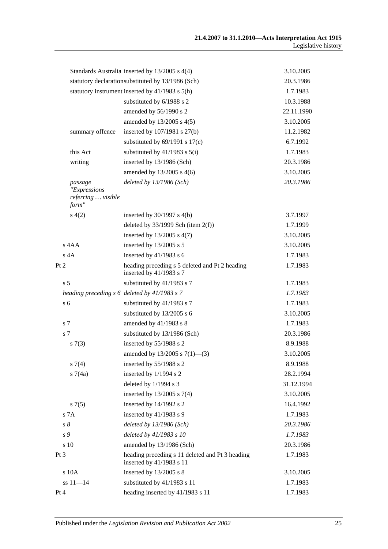|      |                                             | Standards Australia inserted by 13/2005 s 4(4)                              | 3.10.2005  |
|------|---------------------------------------------|-----------------------------------------------------------------------------|------------|
|      |                                             | statutory declarationsubstituted by 13/1986 (Sch)                           | 20.3.1986  |
|      |                                             | statutory instrument inserted by 41/1983 s 5(h)                             | 1.7.1983   |
|      |                                             | substituted by 6/1988 s 2                                                   | 10.3.1988  |
|      |                                             | amended by 56/1990 s 2                                                      | 22.11.1990 |
|      |                                             | amended by $13/2005$ s $4(5)$                                               | 3.10.2005  |
|      | summary offence                             | inserted by 107/1981 s 27(b)                                                | 11.2.1982  |
|      |                                             | substituted by $69/1991$ s $17(c)$                                          | 6.7.1992   |
|      | this Act                                    | substituted by $41/1983$ s $5(i)$                                           | 1.7.1983   |
|      | writing                                     | inserted by 13/1986 (Sch)                                                   | 20.3.1986  |
|      |                                             | amended by $13/2005$ s 4(6)                                                 | 3.10.2005  |
|      | passage                                     | deleted by $13/1986$ (Sch)                                                  | 20.3.1986  |
|      | "Expressions<br>referring  visible<br>form" |                                                                             |            |
|      | s(4(2)                                      | inserted by $30/1997$ s $4(b)$                                              | 3.7.1997   |
|      |                                             | deleted by $33/1999$ Sch (item $2(f)$ )                                     | 1.7.1999   |
|      |                                             | inserted by $13/2005$ s $4(7)$                                              | 3.10.2005  |
|      | s 4AA                                       | inserted by 13/2005 s 5                                                     | 3.10.2005  |
|      | $s$ 4A                                      | inserted by $41/1983$ s 6                                                   | 1.7.1983   |
| Pt 2 |                                             | heading preceding s 5 deleted and Pt 2 heading<br>inserted by 41/1983 s 7   | 1.7.1983   |
|      | s <sub>5</sub>                              | substituted by 41/1983 s 7                                                  | 1.7.1983   |
|      |                                             | heading preceding s 6 deleted by 41/1983 s 7                                | 1.7.1983   |
|      | s <sub>6</sub>                              | substituted by 41/1983 s 7                                                  | 1.7.1983   |
|      |                                             | substituted by 13/2005 s 6                                                  | 3.10.2005  |
|      | s 7                                         | amended by 41/1983 s 8                                                      | 1.7.1983   |
|      | s <sub>7</sub>                              | substituted by 13/1986 (Sch)                                                | 20.3.1986  |
|      | s(7(3)                                      | inserted by 55/1988 s 2                                                     | 8.9.1988   |
|      |                                             | amended by $13/2005$ s $7(1)$ —(3)                                          | 3.10.2005  |
|      | $s \, 7(4)$                                 | inserted by 55/1988 s 2                                                     | 8.9.1988   |
|      | s7(4a)                                      | inserted by 1/1994 s 2                                                      | 28.2.1994  |
|      |                                             | deleted by 1/1994 s 3                                                       | 31.12.1994 |
|      |                                             | inserted by $13/2005$ s $7(4)$                                              | 3.10.2005  |
|      | $s \, 7(5)$                                 | inserted by 14/1992 s 2                                                     | 16.4.1992  |
|      | s 7A                                        | inserted by 41/1983 s 9                                                     | 1.7.1983   |
|      | $s\,\delta$                                 | deleted by $13/1986$ (Sch)                                                  | 20.3.1986  |
|      | s 9                                         | deleted by 41/1983 s 10                                                     | 1.7.1983   |
|      | s 10                                        | amended by 13/1986 (Sch)                                                    | 20.3.1986  |
| Pt 3 |                                             | heading preceding s 11 deleted and Pt 3 heading<br>inserted by 41/1983 s 11 | 1.7.1983   |
|      | s 10A                                       | inserted by 13/2005 s 8                                                     | 3.10.2005  |
|      | $ss 11 - 14$                                | substituted by 41/1983 s 11                                                 | 1.7.1983   |
| Pt 4 |                                             | heading inserted by 41/1983 s 11                                            | 1.7.1983   |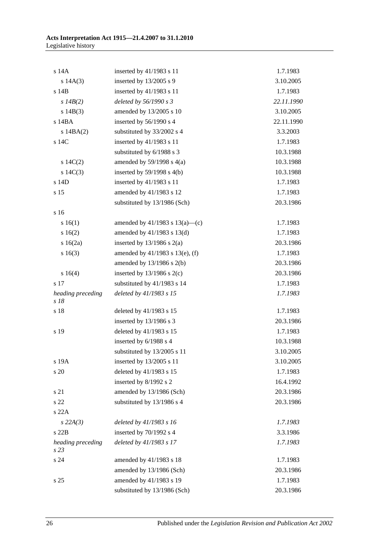| s 14A                     | inserted by 41/1983 s 11            | 1.7.1983   |
|---------------------------|-------------------------------------|------------|
| s $14A(3)$                | inserted by $13/2005$ s 9           | 3.10.2005  |
| s 14B                     | inserted by 41/1983 s 11            | 1.7.1983   |
| s $14B(2)$                | deleted by 56/1990 s 3              | 22.11.1990 |
| s 14B(3)                  | amended by 13/2005 s 10             | 3.10.2005  |
| $s$ 14BA                  | inserted by 56/1990 s 4             | 22.11.1990 |
| $s$ 14BA $(2)$            | substituted by 33/2002 s 4          | 3.3.2003   |
| s 14C                     | inserted by 41/1983 s 11            | 1.7.1983   |
|                           | substituted by 6/1988 s 3           | 10.3.1988  |
| s $14C(2)$                | amended by $59/1998$ s $4(a)$       | 10.3.1988  |
| s $14C(3)$                | inserted by $59/1998$ s $4(b)$      | 10.3.1988  |
| s 14D                     | inserted by 41/1983 s 11            | 1.7.1983   |
| s 15                      | amended by 41/1983 s 12             | 1.7.1983   |
|                           | substituted by 13/1986 (Sch)        | 20.3.1986  |
| s 16                      |                                     |            |
| s 16(1)                   | amended by $41/1983$ s $13(a)$ —(c) | 1.7.1983   |
| s16(2)                    | amended by $41/1983$ s $13(d)$      | 1.7.1983   |
| $s \ 16(2a)$              | inserted by $13/1986$ s $2(a)$      | 20.3.1986  |
| s 16(3)                   | amended by 41/1983 s 13(e), (f)     | 1.7.1983   |
|                           | amended by $13/1986$ s $2(b)$       | 20.3.1986  |
| s 16(4)                   | inserted by $13/1986$ s $2(c)$      | 20.3.1986  |
| s 17                      | substituted by 41/1983 s 14         | 1.7.1983   |
| heading preceding<br>s 18 | deleted by 41/1983 s 15             | 1.7.1983   |
| s 18                      | deleted by $41/1983$ s 15           | 1.7.1983   |
|                           | inserted by 13/1986 s 3             | 20.3.1986  |
| s 19                      | deleted by 41/1983 s 15             | 1.7.1983   |
|                           | inserted by 6/1988 s 4              | 10.3.1988  |
|                           | substituted by 13/2005 s 11         | 3.10.2005  |
| s 19A                     | inserted by 13/2005 s 11            | 3.10.2005  |
| s 20                      | deleted by 41/1983 s 15             | 1.7.1983   |
|                           | inserted by 8/1992 s 2              | 16.4.1992  |
| s 21                      | amended by 13/1986 (Sch)            | 20.3.1986  |
| s 22                      | substituted by 13/1986 s 4          | 20.3.1986  |
| s 22A                     |                                     |            |
| $s\,22A(3)$               | deleted by 41/1983 s 16             | 1.7.1983   |
| s22B                      | inserted by 70/1992 s 4             | 3.3.1986   |
| heading preceding<br>s 23 | deleted by 41/1983 s 17             | 1.7.1983   |
| s 24                      | amended by 41/1983 s 18             | 1.7.1983   |
|                           | amended by 13/1986 (Sch)            | 20.3.1986  |
| s <sub>25</sub>           | amended by 41/1983 s 19             | 1.7.1983   |
|                           | substituted by 13/1986 (Sch)        | 20.3.1986  |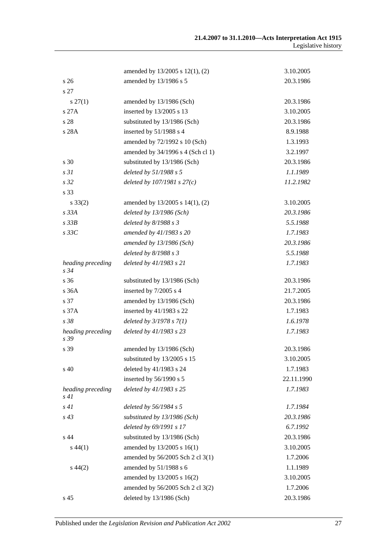|                           | amended by 13/2005 s 12(1), (2)   | 3.10.2005  |
|---------------------------|-----------------------------------|------------|
| s <sub>26</sub>           | amended by 13/1986 s 5            | 20.3.1986  |
| s 27                      |                                   |            |
| $s\,27(1)$                | amended by 13/1986 (Sch)          | 20.3.1986  |
| s27A                      | inserted by 13/2005 s 13          | 3.10.2005  |
| s 28                      | substituted by 13/1986 (Sch)      | 20.3.1986  |
| s 28A                     | inserted by 51/1988 s 4           | 8.9.1988   |
|                           | amended by 72/1992 s 10 (Sch)     | 1.3.1993   |
|                           | amended by 34/1996 s 4 (Sch cl 1) | 3.2.1997   |
| s 30                      | substituted by 13/1986 (Sch)      | 20.3.1986  |
| s <sub>31</sub>           | deleted by 51/1988 s 5            | 1.1.1989   |
| s 32                      | deleted by $107/1981 s 27(c)$     | 11.2.1982  |
| s 33                      |                                   |            |
| $s \, 33(2)$              | amended by 13/2005 s 14(1), (2)   | 3.10.2005  |
| $s$ 33 $A$                | deleted by 13/1986 (Sch)          | 20.3.1986  |
| $s$ 33 $B$                | deleted by $8/1988 s 3$           | 5.5.1988   |
| $s\,33C$                  | amended by 41/1983 s 20           | 1.7.1983   |
|                           | amended by 13/1986 (Sch)          | 20.3.1986  |
|                           | deleted by $8/1988 s 3$           | 5.5.1988   |
| heading preceding<br>s 34 | deleted by 41/1983 s 21           | 1.7.1983   |
| s 36                      | substituted by 13/1986 (Sch)      | 20.3.1986  |
| s 36A                     | inserted by 7/2005 s 4            | 21.7.2005  |
| s 37                      | amended by 13/1986 (Sch)          | 20.3.1986  |
| s 37A                     | inserted by 41/1983 s 22          | 1.7.1983   |
| s 38                      | deleted by $3/1978 s 7(1)$        | 1.6.1978   |
| heading preceding<br>s 39 | deleted by 41/1983 s 23           | 1.7.1983   |
| s 39                      | amended by 13/1986 (Sch)          | 20.3.1986  |
|                           | substituted by 13/2005 s 15       | 3.10.2005  |
| s 40                      | deleted by 41/1983 s 24           | 1.7.1983   |
|                           | inserted by 56/1990 s 5           | 22.11.1990 |
| heading preceding<br>s41  | deleted by 41/1983 s 25           | 1.7.1983   |
| s41                       | deleted by 56/1984 s 5            | 1.7.1984   |
| $s\,43$                   | substituted by 13/1986 (Sch)      | 20.3.1986  |
|                           | deleted by 69/1991 s 17           | 6.7.1992   |
| s 44                      | substituted by 13/1986 (Sch)      | 20.3.1986  |
| $s\,44(1)$                | amended by 13/2005 s 16(1)        | 3.10.2005  |
|                           | amended by 56/2005 Sch 2 cl 3(1)  | 1.7.2006   |
| $s\,44(2)$                | amended by 51/1988 s 6            | 1.1.1989   |
|                           | amended by 13/2005 s 16(2)        | 3.10.2005  |
|                           | amended by 56/2005 Sch 2 cl 3(2)  | 1.7.2006   |
| s 45                      | deleted by 13/1986 (Sch)          | 20.3.1986  |